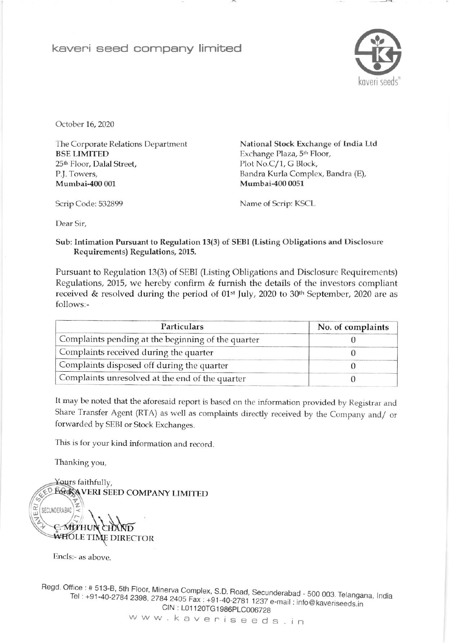## kaveri seed company limited



October 16, 2020

The Corporate Relations Department **BSE LIMITED** 25<sup>th</sup> Floor, Dalal Street, P.J. Towers, Mumbai-400 001

National Stock Exchange of India Ltd Exchange Plaza, 5<sup>th</sup> Floor, Plot No.C/1, G Block, Bandra Kurla Complex, Bandra (E), Mumbai-400 0051

Scrip Code: 532899

Name of Scrip: KSCL

Dear Sir.

Sub: Intimation Pursuant to Regulation 13(3) of SEBI (Listing Obligations and Disclosure Requirements) Regulations, 2015.

Pursuant to Regulation 13(3) of SEBI (Listing Obligations and Disclosure Requirements) Regulations, 2015, we hereby confirm & furnish the details of the investors compliant received & resolved during the period of 01<sup>st</sup> July, 2020 to 30<sup>th</sup> September, 2020 are as follows:-

| <b>Particulars</b>                                 | No. of complaints |  |
|----------------------------------------------------|-------------------|--|
| Complaints pending at the beginning of the quarter |                   |  |
| Complaints received during the quarter             |                   |  |
| Complaints disposed off during the quarter         |                   |  |
| Complaints unresolved at the end of the quarter    |                   |  |

It may be noted that the aforesaid report is based on the information provided by Registrar and Share Transfer Agent (RTA) as well as complaints directly received by the Company and/ or forwarded by SEBI or Stock Exchanges.

This is for your kind information and record.

Thanking you,



Encls:- as above.

Regd. Office: # 513-B, 5th Floor, Minerva Complex, S.D. Road, Secunderabad - 500 003. Telangana, India Tel: +91-40-2784 2398, 2784 2405 Fax: +91-40-2781 1237 e-mail: info@kaveriseeds.in CIN: L01120TG1986PLC006728